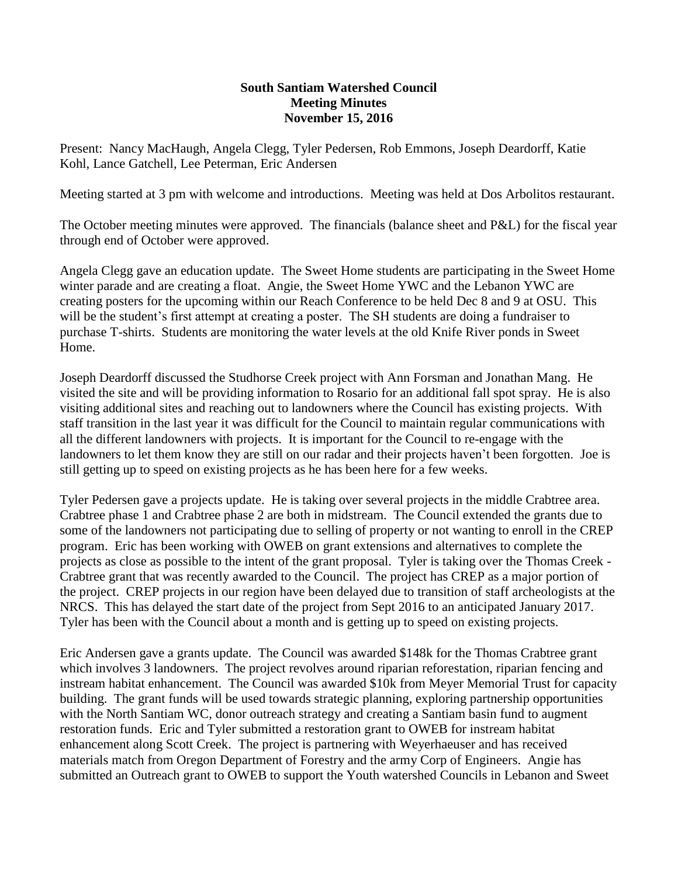## **South Santiam Watershed Council Meeting Minutes November 15, 2016**

Present: Nancy MacHaugh, Angela Clegg, Tyler Pedersen, Rob Emmons, Joseph Deardorff, Katie Kohl, Lance Gatchell, Lee Peterman, Eric Andersen

Meeting started at 3 pm with welcome and introductions. Meeting was held at Dos Arbolitos restaurant.

The October meeting minutes were approved. The financials (balance sheet and P&L) for the fiscal year through end of October were approved.

Angela Clegg gave an education update. The Sweet Home students are participating in the Sweet Home winter parade and are creating a float. Angie, the Sweet Home YWC and the Lebanon YWC are creating posters for the upcoming within our Reach Conference to be held Dec 8 and 9 at OSU. This will be the student's first attempt at creating a poster. The SH students are doing a fundraiser to purchase T-shirts. Students are monitoring the water levels at the old Knife River ponds in Sweet Home.

Joseph Deardorff discussed the Studhorse Creek project with Ann Forsman and Jonathan Mang. He visited the site and will be providing information to Rosario for an additional fall spot spray. He is also visiting additional sites and reaching out to landowners where the Council has existing projects. With staff transition in the last year it was difficult for the Council to maintain regular communications with all the different landowners with projects. It is important for the Council to re-engage with the landowners to let them know they are still on our radar and their projects haven't been forgotten. Joe is still getting up to speed on existing projects as he has been here for a few weeks.

Tyler Pedersen gave a projects update. He is taking over several projects in the middle Crabtree area. Crabtree phase 1 and Crabtree phase 2 are both in midstream. The Council extended the grants due to some of the landowners not participating due to selling of property or not wanting to enroll in the CREP program. Eric has been working with OWEB on grant extensions and alternatives to complete the projects as close as possible to the intent of the grant proposal. Tyler is taking over the Thomas Creek - Crabtree grant that was recently awarded to the Council. The project has CREP as a major portion of the project. CREP projects in our region have been delayed due to transition of staff archeologists at the NRCS. This has delayed the start date of the project from Sept 2016 to an anticipated January 2017. Tyler has been with the Council about a month and is getting up to speed on existing projects.

Eric Andersen gave a grants update. The Council was awarded \$148k for the Thomas Crabtree grant which involves 3 landowners. The project revolves around riparian reforestation, riparian fencing and instream habitat enhancement. The Council was awarded \$10k from Meyer Memorial Trust for capacity building. The grant funds will be used towards strategic planning, exploring partnership opportunities with the North Santiam WC, donor outreach strategy and creating a Santiam basin fund to augment restoration funds. Eric and Tyler submitted a restoration grant to OWEB for instream habitat enhancement along Scott Creek. The project is partnering with Weyerhaeuser and has received materials match from Oregon Department of Forestry and the army Corp of Engineers. Angie has submitted an Outreach grant to OWEB to support the Youth watershed Councils in Lebanon and Sweet